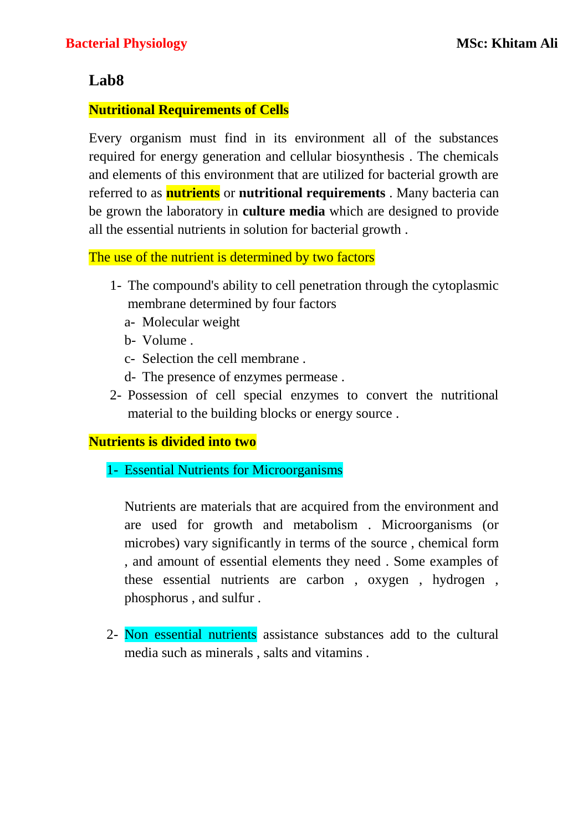# **Lab8**

### **Nutritional Requirements of Cells**

Every organism must find in its environment all of the substances required for energy generation and cellular biosynthesis . The chemicals and elements of this environment that are utilized for bacterial growth are referred to as **nutrients** or **nutritional requirements** . Many bacteria can be grown the laboratory in **culture media** which are designed to provide all the essential nutrients in solution for bacterial growth .

The use of the nutrient is determined by two factors

- 1- The compound's ability to cell penetration through the cytoplasmic membrane determined by four factors
	- a- Molecular weight
	- b- Volume .
	- c- Selection the cell membrane .
	- d- The presence of enzymes permease .
- 2- Possession of cell special enzymes to convert the nutritional material to the building blocks or energy source .

### **Nutrients is divided into two**

1- Essential Nutrients for Microorganisms

Nutrients are materials that are acquired from the environment and are used for growth and metabolism . Microorganisms (or microbes) vary significantly in terms of the source , chemical form , and amount of essential elements they need . Some examples of these essential nutrients are carbon , oxygen , hydrogen , phosphorus , and sulfur .

2- Non essential nutrients assistance substances add to the cultural media such as minerals , salts and vitamins .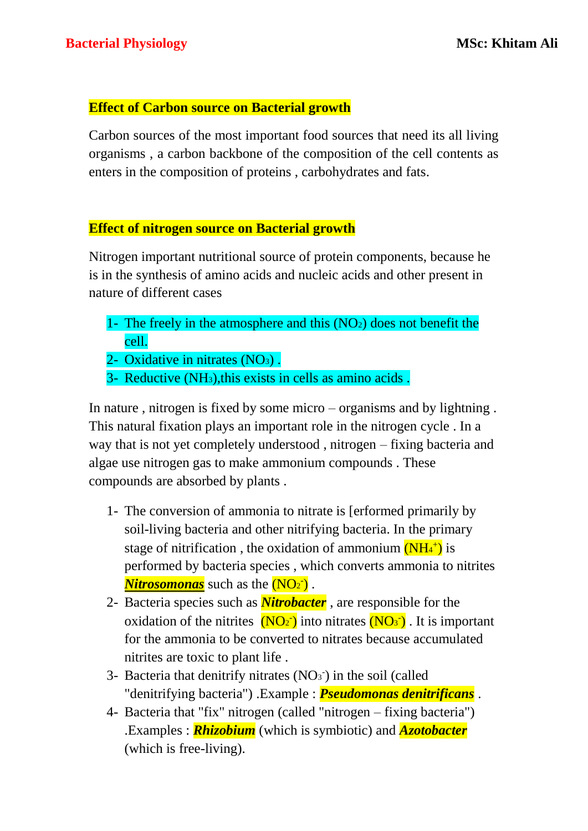# **Effect of Carbon source on Bacterial growth**

Carbon sources of the most important food sources that need its all living organisms , a carbon backbone of the composition of the cell contents as enters in the composition of proteins , carbohydrates and fats.

### **Effect of nitrogen source on Bacterial growth**

Nitrogen important nutritional source of protein components, because he is in the synthesis of amino acids and nucleic acids and other present in nature of different cases

- 1- The freely in the atmosphere and this  $(NO<sub>2</sub>)$  does not benefit the cell.
- 2- Oxidative in nitrates (NO<sub>3</sub>).
- 3- Reductive (NH3),this exists in cells as amino acids .

In nature , nitrogen is fixed by some micro – organisms and by lightning . This natural fixation plays an important role in the nitrogen cycle . In a way that is not yet completely understood , nitrogen – fixing bacteria and algae use nitrogen gas to make ammonium compounds . These compounds are absorbed by plants .

- 1- The conversion of ammonia to nitrate is [erformed primarily by soil-living bacteria and other nitrifying bacteria. In the primary stage of nitrification, the oxidation of ammonium  $(NH_4^+)$  is performed by bacteria species , which converts ammonia to nitrites *Nitrosomonas* such as the (NO<sup>2</sup> - ) .
- 2- Bacteria species such as *Nitrobacter* , are responsible for the oxidation of the nitrites  $(NO_2)$  into nitrates  $(NO_3)$ . It is important for the ammonia to be converted to nitrates because accumulated nitrites are toxic to plant life .
- 3- Bacteria that denitrify nitrates  $(NO<sub>3</sub>)$  in the soil (called "denitrifying bacteria") .Example : *Pseudomonas denitrificans* .
- 4- Bacteria that "fix" nitrogen (called "nitrogen fixing bacteria") .Examples : *Rhizobium* (which is symbiotic) and *Azotobacter* (which is free-living).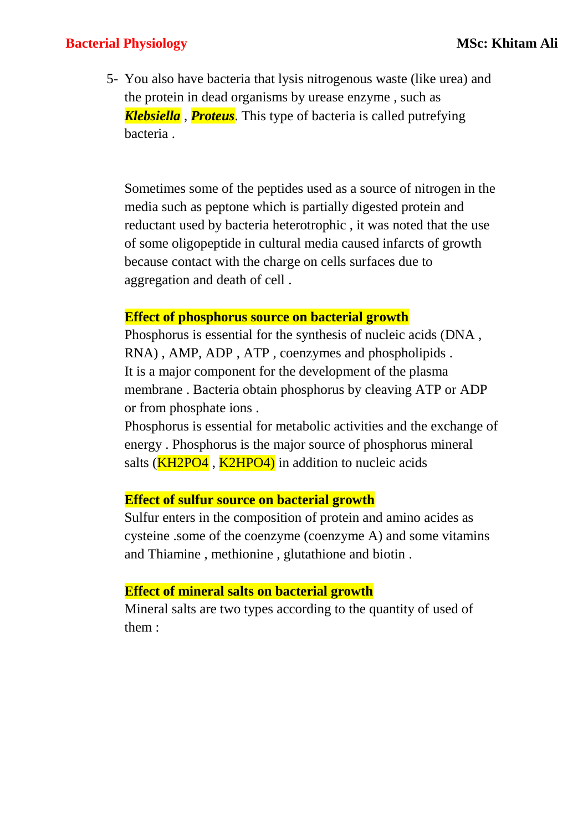### **Bacterial Physiology MSc: Khitam Ali**

5- You also have bacteria that lysis nitrogenous waste (like urea) and the protein in dead organisms by urease enzyme , such as *Klebsiella* , *Proteus*. This type of bacteria is called putrefying bacteria .

Sometimes some of the peptides used as a source of nitrogen in the media such as peptone which is partially digested protein and reductant used by bacteria heterotrophic , it was noted that the use of some oligopeptide in cultural media caused infarcts of growth because contact with the charge on cells surfaces due to aggregation and death of cell .

#### **Effect of phosphorus source on bacterial growth**

Phosphorus is essential for the synthesis of nucleic acids (DNA , RNA) , AMP, ADP , ATP , coenzymes and phospholipids . It is a major component for the development of the plasma membrane . Bacteria obtain phosphorus by cleaving ATP or ADP or from phosphate ions .

Phosphorus is essential for metabolic activities and the exchange of energy . Phosphorus is the major source of phosphorus mineral salts  $(KH2PO4, K2HPO4)$  in addition to nucleic acids

#### **Effect of sulfur source on bacterial growth**

Sulfur enters in the composition of protein and amino acides as cysteine .some of the coenzyme (coenzyme A) and some vitamins and Thiamine , methionine , glutathione and biotin .

#### **Effect of mineral salts on bacterial growth**

Mineral salts are two types according to the quantity of used of them :